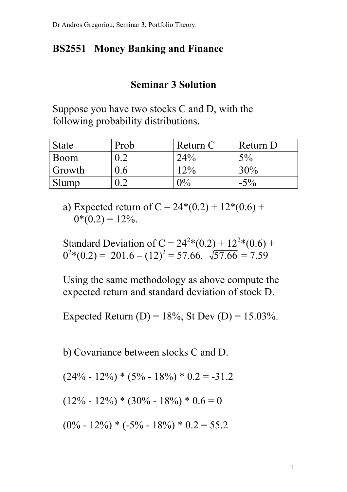## **BS2551 Money Banking and Finance**

## **Seminar 3 Solution**

Suppose you have two stocks C and D, with the following probability distributions.

| <b>State</b> | Prob    | Return C       | Return D |
|--------------|---------|----------------|----------|
| Boom         | $0.2\,$ | 24%            | 5%       |
| Growth       | 0.6     | $12\%$         | 30%      |
| Slump        | $0.2\,$ | $\gamma_{0/2}$ | $-5\%$   |

a) Expected return of  $C = 24*(0.2) + 12*(0.6) +$  $0*(0.2) = 12\%$ .

Standard Deviation of C =  $24^{2}*(0.2) + 12^{2}*(0.6) +$  $0^{2}*(0.2) = 201.6 - (12)^{2} = 57.66. \sqrt{57.66} = 7.59$ 

Using the same methodology as above compute the expected return and standard deviation of stock D.

Expected Return (D) =  $18\%$ , St Dev (D) =  $15.03\%$ .

b) Covariance between stocks C and D.

$$
(24\% - 12\%) * (5\% - 18\%) * 0.2 = -31.2
$$

 $(12\% - 12\%) * (30\% - 18\%) * 0.6 = 0$ 

 $(0\% - 12\%) * (-5\% - 18\%) * 0.2 = 55.2$